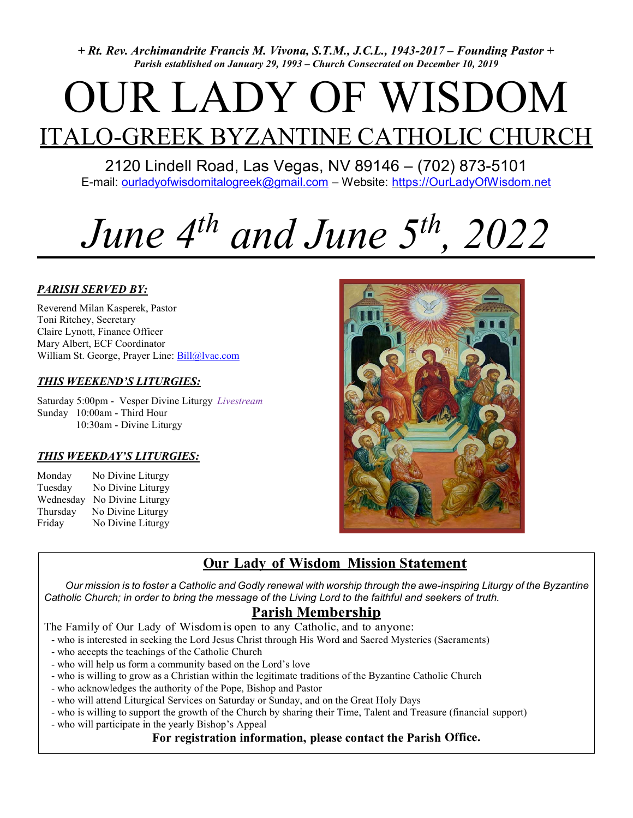+ Rt. Rev. Archimandrite Francis M. Vivona, S.T.M., J.C.L., 1943-2017 – Founding Pastor + Parish established on January 29, 1993 – Church Consecrated on December 10, 2019

# OUR LADY OF WISDOM

## ITALO-GREEK BYZANTINE CATHOLIC CHURCH 2120 Lindell Road, Las Vegas, NV 89146 – (702) 873-5101

E-mail: ourladyofwisdomitalogreek@gmail.com – Website: https://OurLadyOfWisdom.net

## June  $4^{th}$  and June  $5^{th}$ , 2022

## PARISH SERVED BY:

Reverend Milan Kasperek, Pastor Toni Ritchey, Secretary Claire Lynott, Finance Officer Mary Albert, ECF Coordinator William St. George, Prayer Line: Bill@lvac.com

### THIS WEEKEND'S LITURGIES:

Saturday 5:00pm - Vesper Divine Liturgy Livestream Sunday 10:00am - Third Hour 10:30am - Divine Liturgy

### THIS WEEKDAY'S LITURGIES:

Monday No Divine Liturgy Tuesday No Divine Liturgy Wednesday No Divine Liturgy Thursday No Divine Liturgy Friday No Divine Liturgy



## Our Lady of Wisdom Mission Statement

 Our mission is to foster a Catholic and Godly renewal with worship through the awe-inspiring Liturgy of the Byzantine Catholic Church; in order to bring the message of the Living Lord to the faithful and seekers of truth.

## Parish Membership

The Family of Our Lady of Wisdom is open to any Catholic, and to anyone:

- who is interested in seeking the Lord Jesus Christ through His Word and Sacred Mysteries (Sacraments)
- who accepts the teachings of the Catholic Church
- who will help us form a community based on the Lord's love
- who is willing to grow as a Christian within the legitimate traditions of the Byzantine Catholic Church
- who acknowledges the authority of the Pope, Bishop and Pastor
- who will attend Liturgical Services on Saturday or Sunday, and on the Great Holy Days
- who is willing to support the growth of the Church by sharing their Time, Talent and Treasure (financial support)
- who will participate in the yearly Bishop's Appeal

### For registration information, please contact the Parish Office.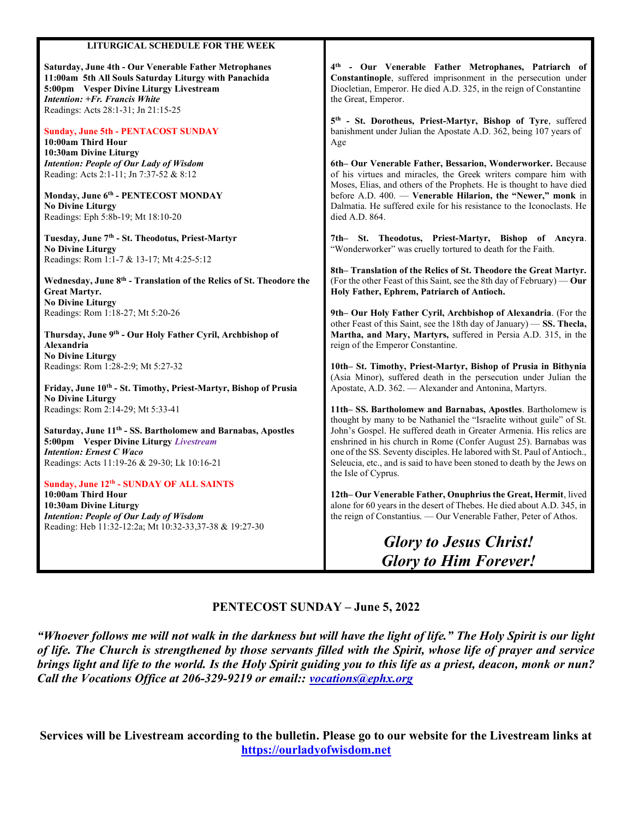| LITURGICAL SCHEDULE FOR THE WEEK                                                                                                                                                                                                         |                                                                                                                                                                                                                     |
|------------------------------------------------------------------------------------------------------------------------------------------------------------------------------------------------------------------------------------------|---------------------------------------------------------------------------------------------------------------------------------------------------------------------------------------------------------------------|
| Saturday, June 4th - Our Venerable Father Metrophanes<br>11:00am 5th All Souls Saturday Liturgy with Panachida<br>5:00pm Vesper Divine Liturgy Livestream<br><b>Intention: +Fr. Francis White</b><br>Readings: Acts 28:1-31; Jn 21:15-25 | 4th - Our Venerable Father Metrophanes, Patriarch of<br>Constantinople, suffered imprisonment in the persecution under<br>Diocletian, Emperor. He died A.D. 325, in the reign of Constantine<br>the Great, Emperor. |
| <b>Sunday, June 5th - PENTACOST SUNDAY</b><br>10:00am Third Hour<br>10:30am Divine Liturgy                                                                                                                                               | 5th - St. Dorotheus, Priest-Martyr, Bishop of Tyre, suffered<br>banishment under Julian the Apostate A.D. 362, being 107 years of<br>Age                                                                            |
| <b>Intention: People of Our Lady of Wisdom</b><br>Reading: Acts 2:1-11; Jn 7:37-52 & 8:12                                                                                                                                                | 6th- Our Venerable Father, Bessarion, Wonderworker. Because<br>of his virtues and miracles, the Greek writers compare him with<br>Moses, Elias, and others of the Prophets. He is thought to have died              |
| Monday, June 6th - PENTECOST MONDAY<br><b>No Divine Liturgy</b><br>Readings: Eph 5:8b-19; Mt 18:10-20                                                                                                                                    | before A.D. 400. - Venerable Hilarion, the "Newer," monk in<br>Dalmatia. He suffered exile for his resistance to the Iconoclasts. He<br>died A.D. 864.                                                              |
| Tuesday, June 7 <sup>th</sup> - St. Theodotus, Priest-Martyr<br><b>No Divine Liturgy</b><br>Readings: Rom 1:1-7 & 13-17; Mt 4:25-5:12                                                                                                    | 7th- St. Theodotus, Priest-Martyr, Bishop of Ancyra.<br>"Wonderworker" was cruelly tortured to death for the Faith.                                                                                                 |
| Wednesday, June 8 <sup>th</sup> - Translation of the Relics of St. Theodore the<br><b>Great Martyr.</b>                                                                                                                                  | 8th– Translation of the Relics of St. Theodore the Great Martyr.<br>(For the other Feast of this Saint, see the 8th day of February) — Our<br>Holy Father, Ephrem, Patriarch of Antioch.                            |
| <b>No Divine Liturgy</b><br>Readings: Rom 1:18-27; Mt 5:20-26<br>Thursday, June 9th - Our Holy Father Cyril, Archbishop of                                                                                                               | 9th- Our Holy Father Cyril, Archbishop of Alexandria. (For the<br>other Feast of this Saint, see the 18th day of January) - SS. Thecla,<br>Martha, and Mary, Martyrs, suffered in Persia A.D. 315, in the           |
| Alexandria<br><b>No Divine Liturgy</b>                                                                                                                                                                                                   | reign of the Emperor Constantine.                                                                                                                                                                                   |
| Readings: Rom 1:28-2:9; Mt 5:27-32<br>Friday, June 10th - St. Timothy, Priest-Martyr, Bishop of Prusia                                                                                                                                   | 10th- St. Timothy, Priest-Martyr, Bishop of Prusia in Bithynia<br>(Asia Minor), suffered death in the persecution under Julian the<br>Apostate, A.D. 362. - Alexander and Antonina, Martyrs.                        |
| <b>No Divine Liturgy</b><br>Readings: Rom 2:14-29; Mt 5:33-41                                                                                                                                                                            | 11th-SS. Bartholomew and Barnabas, Apostles. Bartholomew is<br>thought by many to be Nathaniel the "Israelite without guile" of St.                                                                                 |
| Saturday, June 11 <sup>th</sup> - SS. Bartholomew and Barnabas, Apostles<br>5:00pm Vesper Divine Liturgy Livestream<br><b>Intention: Ernest C Waco</b>                                                                                   | John's Gospel. He suffered death in Greater Armenia. His relics are<br>enshrined in his church in Rome (Confer August 25). Barnabas was<br>one of the SS. Seventy disciples. He labored with St. Paul of Antioch.,  |
| Readings: Acts 11:19-26 & 29-30; Lk 10:16-21<br>Sunday, June 12th - SUNDAY OF ALL SAINTS                                                                                                                                                 | Seleucia, etc., and is said to have been stoned to death by the Jews on<br>the Isle of Cyprus.                                                                                                                      |
| 10:00am Third Hour<br>10:30am Divine Liturgy<br><b>Intention: People of Our Lady of Wisdom</b><br>Reading: Heb 11:32-12:2a; Mt 10:32-33,37-38 & 19:27-30                                                                                 | 12th-Our Venerable Father, Onuphrius the Great, Hermit, lived<br>alone for 60 years in the desert of Thebes. He died about A.D. 345, in<br>the reign of Constantius. - Our Venerable Father, Peter of Athos.        |
|                                                                                                                                                                                                                                          | <b>Glory to Jesus Christ!</b>                                                                                                                                                                                       |
|                                                                                                                                                                                                                                          | <b>Glory to Him Forever!</b>                                                                                                                                                                                        |

### PENTECOST SUNDAY – June 5, 2022

"Whoever follows me will not walk in the darkness but will have the light of life." The Holy Spirit is our light of life. The Church is strengthened by those servants filled with the Spirit, whose life of prayer and service brings light and life to the world. Is the Holy Spirit guiding you to this life as a priest, deacon, monk or nun? Call the Vocations Office at 206-329-9219 or email:: vocations@ephx.org

Services will be Livestream according to the bulletin. Please go to our website for the Livestream links at https://ourladyofwisdom.net